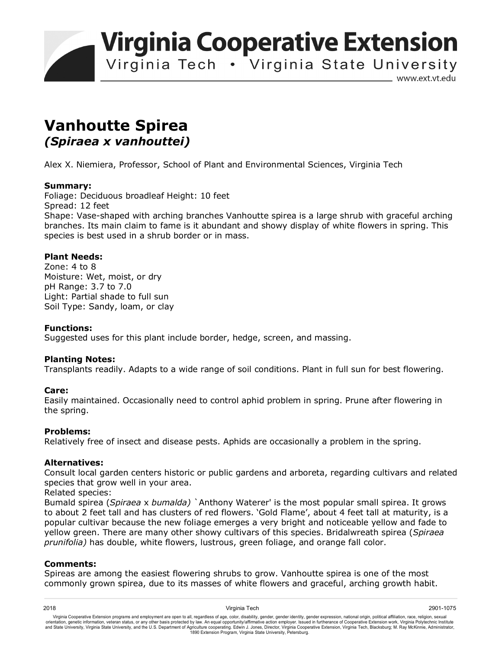**Virginia Cooperative Extension** 

Virginia Tech . Virginia State University

www.ext.vt.edu

# **Vanhoutte Spirea**  *(Spiraea x vanhouttei)*

Alex X. Niemiera, Professor, School of Plant and Environmental Sciences, Virginia Tech

### **Summary:**

Foliage: Deciduous broadleaf Height: 10 feet Spread: 12 feet Shape: Vase-shaped with arching branches Vanhoutte spirea is a large shrub with graceful arching branches. Its main claim to fame is it abundant and showy display of white flowers in spring. This species is best used in a shrub border or in mass.

## **Plant Needs:**

Zone: 4 to 8 Moisture: Wet, moist, or dry pH Range: 3.7 to 7.0 Light: Partial shade to full sun Soil Type: Sandy, loam, or clay

### **Functions:**

Suggested uses for this plant include border, hedge, screen, and massing.

### **Planting Notes:**

Transplants readily. Adapts to a wide range of soil conditions. Plant in full sun for best flowering.

### **Care:**

Easily maintained. Occasionally need to control aphid problem in spring. Prune after flowering in the spring.

### **Problems:**

Relatively free of insect and disease pests. Aphids are occasionally a problem in the spring.

### **Alternatives:**

Consult local garden centers historic or public gardens and arboreta, regarding cultivars and related species that grow well in your area.

Related species:

Bumald spirea (*Spiraea* x *bumalda)* `Anthony Waterer' is the most popular small spirea. It grows to about 2 feet tall and has clusters of red flowers. 'Gold Flame', about 4 feet tall at maturity, is a popular cultivar because the new foliage emerges a very bright and noticeable yellow and fade to yellow green. There are many other showy cultivars of this species. Bridalwreath spirea (*Spiraea prunifolia)* has double, white flowers, lustrous, green foliage, and orange fall color.

### **Comments:**

Spireas are among the easiest flowering shrubs to grow. Vanhoutte spirea is one of the most commonly grown spirea, due to its masses of white flowers and graceful, arching growth habit.

2018 Virginia Tech 2901-1075 Virginia Cooperative Extension programs and employment are open to all, regardless of age, color, disability, gender, gender identity, gender expression, national origin, political affiliation, race, religion, sexual orientation, genetic information, veteran status, or any other basis protected by law. An equal opportunity/affirmative action employer. Issued in furtherance of Cooperative Extension work, Virginia Polytechnic Institute<br>a 1890 Extension Program, Virginia State University, Petersburg.